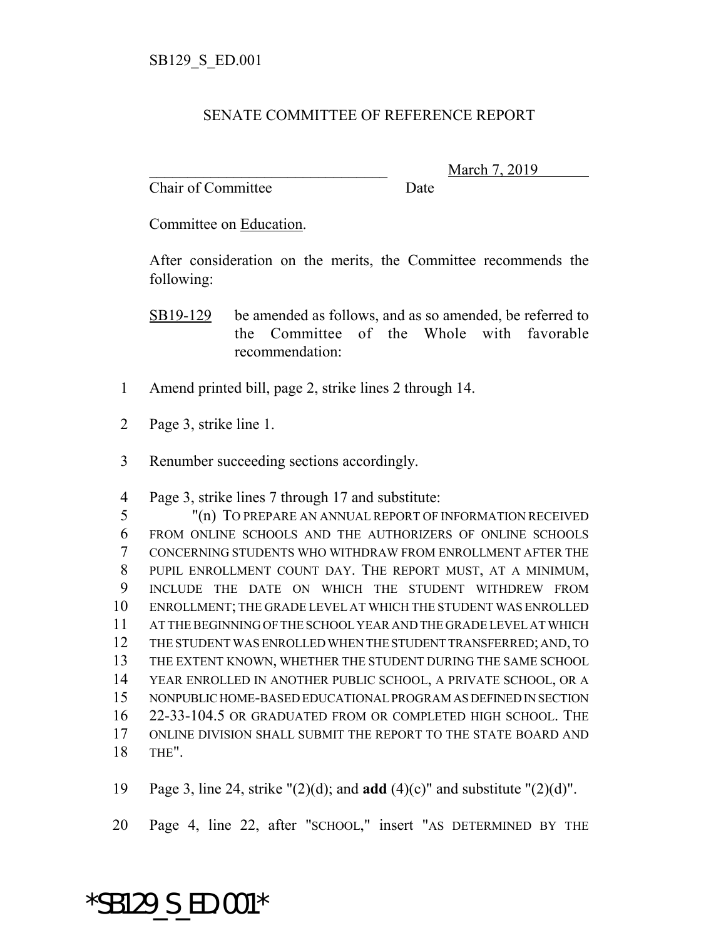## SENATE COMMITTEE OF REFERENCE REPORT

Chair of Committee Date

March 7, 2019

Committee on Education.

After consideration on the merits, the Committee recommends the following:

SB19-129 be amended as follows, and as so amended, be referred to the Committee of the Whole with favorable recommendation:

- Amend printed bill, page 2, strike lines 2 through 14.
- Page 3, strike line 1.
- Renumber succeeding sections accordingly.

Page 3, strike lines 7 through 17 and substitute:

 "(n) TO PREPARE AN ANNUAL REPORT OF INFORMATION RECEIVED FROM ONLINE SCHOOLS AND THE AUTHORIZERS OF ONLINE SCHOOLS CONCERNING STUDENTS WHO WITHDRAW FROM ENROLLMENT AFTER THE PUPIL ENROLLMENT COUNT DAY. THE REPORT MUST, AT A MINIMUM, INCLUDE THE DATE ON WHICH THE STUDENT WITHDREW FROM ENROLLMENT; THE GRADE LEVEL AT WHICH THE STUDENT WAS ENROLLED AT THE BEGINNING OF THE SCHOOL YEAR AND THE GRADE LEVEL AT WHICH THE STUDENT WAS ENROLLED WHEN THE STUDENT TRANSFERRED; AND, TO THE EXTENT KNOWN, WHETHER THE STUDENT DURING THE SAME SCHOOL YEAR ENROLLED IN ANOTHER PUBLIC SCHOOL, A PRIVATE SCHOOL, OR A NONPUBLIC HOME-BASED EDUCATIONAL PROGRAM AS DEFINED IN SECTION 22-33-104.5 OR GRADUATED FROM OR COMPLETED HIGH SCHOOL. THE ONLINE DIVISION SHALL SUBMIT THE REPORT TO THE STATE BOARD AND THE".

Page 3, line 24, strike "(2)(d); and **add** (4)(c)" and substitute "(2)(d)".

Page 4, line 22, after "SCHOOL," insert "AS DETERMINED BY THE

## \*SB129\_S\_ED.001\*